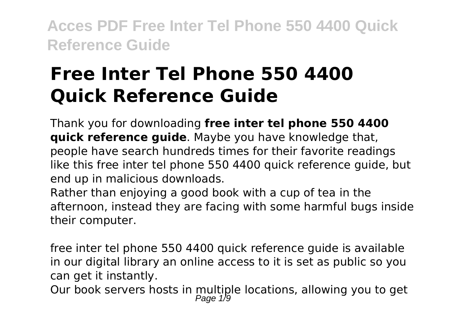# **Free Inter Tel Phone 550 4400 Quick Reference Guide**

Thank you for downloading **free inter tel phone 550 4400 quick reference guide**. Maybe you have knowledge that, people have search hundreds times for their favorite readings like this free inter tel phone 550 4400 quick reference guide, but end up in malicious downloads.

Rather than enjoying a good book with a cup of tea in the afternoon, instead they are facing with some harmful bugs inside their computer.

free inter tel phone 550 4400 quick reference guide is available in our digital library an online access to it is set as public so you can get it instantly.

Our book servers hosts in multiple locations, allowing you to get<br>Page 1/9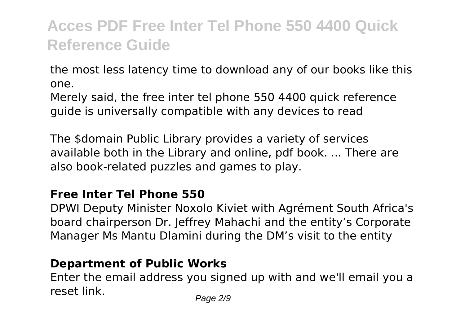the most less latency time to download any of our books like this one.

Merely said, the free inter tel phone 550 4400 quick reference guide is universally compatible with any devices to read

The \$domain Public Library provides a variety of services available both in the Library and online, pdf book. ... There are also book-related puzzles and games to play.

#### **Free Inter Tel Phone 550**

DPWI Deputy Minister Noxolo Kiviet with Agrément South Africa's board chairperson Dr. Jeffrey Mahachi and the entity's Corporate Manager Ms Mantu Dlamini during the DM's visit to the entity

### **Department of Public Works**

Enter the email address you signed up with and we'll email you a reset link. Page 2/9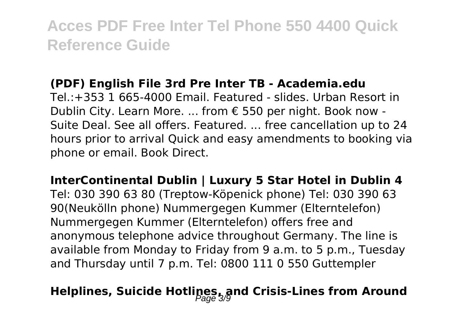#### **(PDF) English File 3rd Pre Inter TB - Academia.edu**

Tel.:+353 1 665-4000 Email. Featured - slides. Urban Resort in Dublin City. Learn More. ... from € 550 per night. Book now - Suite Deal. See all offers. Featured. ... free cancellation up to 24 hours prior to arrival Quick and easy amendments to booking via phone or email. Book Direct.

**InterContinental Dublin | Luxury 5 Star Hotel in Dublin 4** Tel: 030 390 63 80 (Treptow-Köpenick phone) Tel: 030 390 63 90(Neukölln phone) Nummergegen Kummer (Elterntelefon) Nummergegen Kummer (Elterntelefon) offers free and anonymous telephone advice throughout Germany. The line is available from Monday to Friday from 9 a.m. to 5 p.m., Tuesday and Thursday until 7 p.m. Tel: 0800 111 0 550 Guttempler

### **Helplines, Suicide Hotlines, and Crisis-Lines from Around**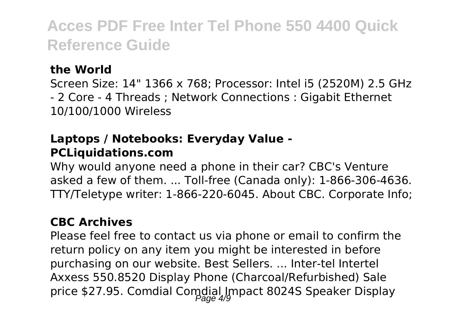### **the World**

Screen Size: 14" 1366 x 768; Processor: Intel i5 (2520M) 2.5 GHz - 2 Core - 4 Threads ; Network Connections : Gigabit Ethernet 10/100/1000 Wireless

#### **Laptops / Notebooks: Everyday Value - PCLiquidations.com**

Why would anyone need a phone in their car? CBC's Venture asked a few of them. ... Toll-free (Canada only): 1-866-306-4636. TTY/Teletype writer: 1-866-220-6045. About CBC. Corporate Info;

#### **CBC Archives**

Please feel free to contact us via phone or email to confirm the return policy on any item you might be interested in before purchasing on our website. Best Sellers. ... Inter-tel Intertel Axxess 550.8520 Display Phone (Charcoal/Refurbished) Sale price \$27.95. Comdial Comdial Impact 8024S Speaker Display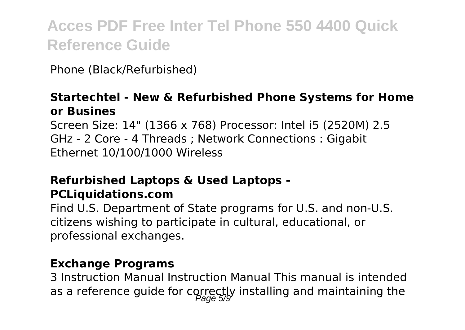Phone (Black/Refurbished)

#### **Startechtel - New & Refurbished Phone Systems for Home or Busines**

Screen Size: 14" (1366 x 768) Processor: Intel i5 (2520M) 2.5 GHz - 2 Core - 4 Threads ; Network Connections : Gigabit Ethernet 10/100/1000 Wireless

#### **Refurbished Laptops & Used Laptops - PCLiquidations.com**

Find U.S. Department of State programs for U.S. and non-U.S. citizens wishing to participate in cultural, educational, or professional exchanges.

#### **Exchange Programs**

3 Instruction Manual Instruction Manual This manual is intended as a reference guide for correctly installing and maintaining the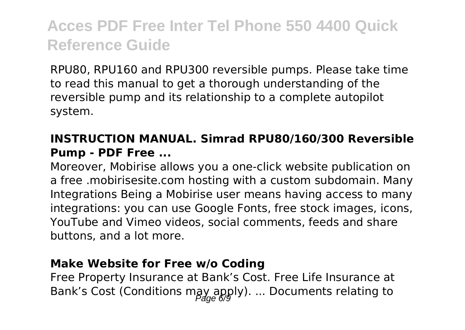RPU80, RPU160 and RPU300 reversible pumps. Please take time to read this manual to get a thorough understanding of the reversible pump and its relationship to a complete autopilot system.

### **INSTRUCTION MANUAL. Simrad RPU80/160/300 Reversible Pump - PDF Free ...**

Moreover, Mobirise allows you a one-click website publication on a free .mobirisesite.com hosting with a custom subdomain. Many Integrations Being a Mobirise user means having access to many integrations: you can use Google Fonts, free stock images, icons, YouTube and Vimeo videos, social comments, feeds and share buttons, and a lot more.

#### **Make Website for Free w/o Coding**

Free Property Insurance at Bank's Cost. Free Life Insurance at Bank's Cost (Conditions may apply). ... Documents relating to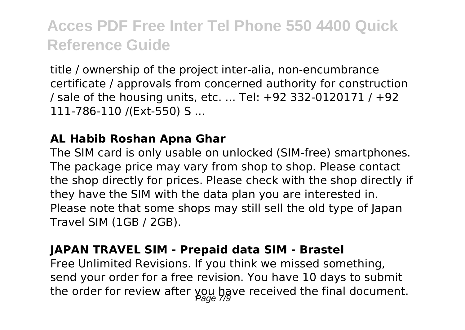title / ownership of the project inter-alia, non-encumbrance certificate / approvals from concerned authority for construction / sale of the housing units, etc. ... Tel: +92 332-0120171 / +92 111-786-110 /(Ext-550) S ...

#### **AL Habib Roshan Apna Ghar**

The SIM card is only usable on unlocked (SIM-free) smartphones. The package price may vary from shop to shop. Please contact the shop directly for prices. Please check with the shop directly if they have the SIM with the data plan you are interested in. Please note that some shops may still sell the old type of Japan Travel SIM (1GB / 2GB).

#### **JAPAN TRAVEL SIM - Prepaid data SIM - Brastel**

Free Unlimited Revisions. If you think we missed something, send your order for a free revision. You have 10 days to submit the order for review after you have received the final document.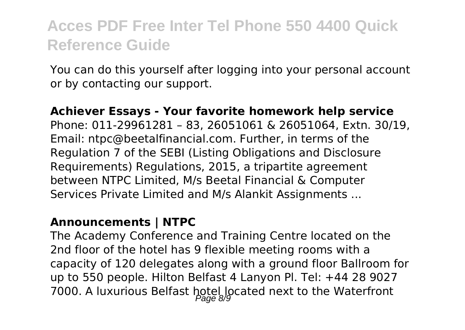You can do this yourself after logging into your personal account or by contacting our support.

#### **Achiever Essays - Your favorite homework help service**

Phone: 011-29961281 – 83, 26051061 & 26051064, Extn. 30/19, Email: ntpc@beetalfinancial.com. Further, in terms of the Regulation 7 of the SEBI (Listing Obligations and Disclosure Requirements) Regulations, 2015, a tripartite agreement between NTPC Limited, M/s Beetal Financial & Computer Services Private Limited and M/s Alankit Assignments ...

#### **Announcements | NTPC**

The Academy Conference and Training Centre located on the 2nd floor of the hotel has 9 flexible meeting rooms with a capacity of 120 delegates along with a ground floor Ballroom for up to 550 people. Hilton Belfast 4 Lanyon Pl. Tel: +44 28 9027 7000. A luxurious Belfast hotel located next to the Waterfront